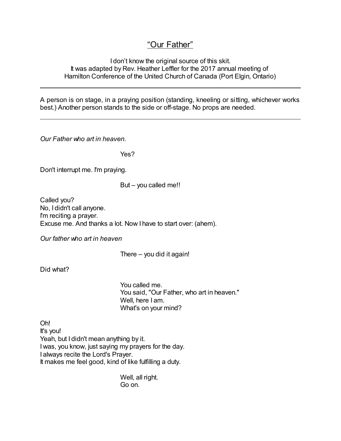## "Our Father"

## I don't know the original source of this skit. It was adapted by Rev. Heather Leffler for the 2017 annual meeting of Hamilton Conference of the United Church of Canada (Port Elgin, Ontario)

A person is on stage, in a praying position (standing, kneeling or sitting, whichever works best.) Another person stands to the side or off-stage. No props are needed.

*Our Father who art in heaven.*

Yes?

Don't interrupt me. I'm praying.

But – you called me!!

Called you? No, I didn't call anyone. I'm reciting a prayer. Excuse me. And thanks a lot. Now I have to start over: (ahem).

*Our father who art in heaven*

There – you did it again!

Did what?

You called me. You said, "Our Father, who art in heaven." Well, here I am. What's on your mind?

Oh! It's you! Yeah, but I didn't mean anything by it. I was, you know, just saying my prayers for the day. I always recite the Lord's Prayer. It makes me feel good, kind of like fulfilling a duty.

> Well, all right. Go on.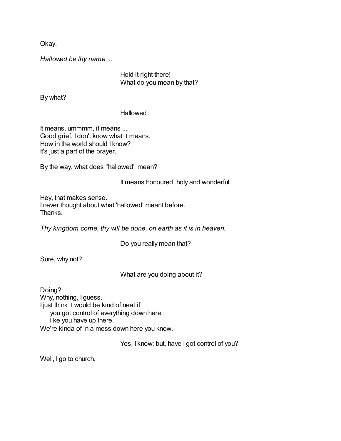Okay.

*Hallowed be thy name ...*

Hold it right there! What do you mean by that?

By what?

Hallowed.

It means, ummmm, it means ... Good grief, I don't know what it means. How in the world should I know? It's just a part of the prayer.

By the way, what does "hallowed" mean?

It means honoured, holy and wonderful.

Hey, that makes sense. I never thought about what 'hallowed' meant before. Thanks.

*Thy kingdom come, thy will be done, on earth as it is in heaven.*

Do you really mean that?

Sure, why not?

What are you doing about it?

Doing? Why, nothing, I guess. I just think it would be kind of neat if you got control of everything down here like you have up there. We're kinda of in a mess down here you know.

Yes, I know; but, have I got control of you?

Well, I go to church.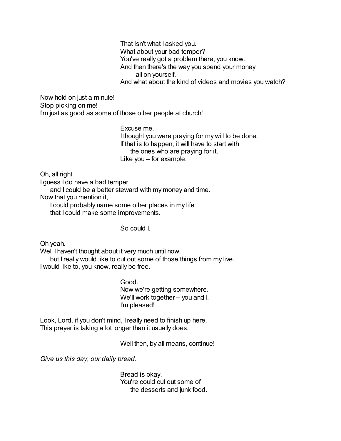That isn't what I asked you. What about your bad temper? You've really got a problem there, you know. And then there's the way you spend your money – all on yourself. And what about the kind of videos and movies you watch?

Now hold on just a minute! Stop picking on me! I'm just as good as some of those other people at church!

> Excuse me. I thought you were praying for my will to be done. If that is to happen, it will have to start with the ones who are praying for it. Like you – for example.

Oh, all right.

I guess I do have a bad temper

and I could be a better steward with my money and time.

Now that you mention it,

I could probably name some other places in my life that I could make some improvements.

So could I.

Oh yeah.

Well I haven't thought about it very much until now,

but I really would like to cut out some of those things from my live. I would like to, you know, really be free.

> Good. Now we're getting somewhere. We'll work together – you and I. I'm pleased!

Look, Lord, if you don't mind, Ireally need to finish up here. This prayer is taking a lot longer than it usually does.

Well then, by all means, continue!

*Give us this day, our daily bread.*

Bread is okay. You're could cut out some of the desserts and junk food.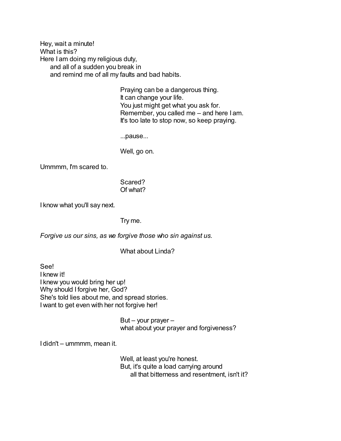Hey, wait a minute! What is this? Here I am doing my religious duty, and all of a sudden you break in and remind me of all my faults and bad habits.

> Praying can be a dangerous thing. It can change your life. You just might get what you ask for. Remember, you called me – and here I am. It's too late to stop now, so keep praying.

...pause...

Well, go on.

Ummmm, I'm scared to.

Scared? Of what?

I know what you'll say next.

Try me.

*Forgive us our sins, as we forgive those who sin against us.*

What about Linda?

See! I knew it! I knew you would bring her up! Why should I forgive her, God? She's told lies about me, and spread stories. I want to get even with her not forgive her!

> But – your prayer – what about your prayer and forgiveness?

I didn't – ummmm, mean it.

Well, at least you're honest. But, it's quite a load carrying around all that bitterness and resentment, isn't it?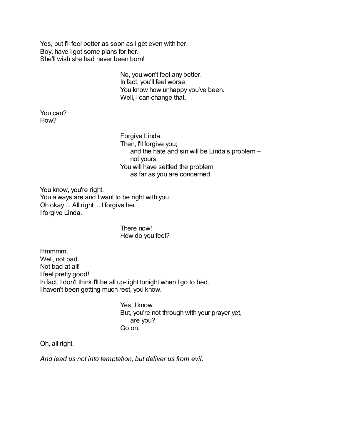Yes, but I'll feel better as soon as I get even with her. Boy, have I got some plans for her. She'll wish she had never been born!

> No, you won't feel any better. In fact, you'll feel worse. You know how unhappy you've been. Well, I can change that.

You can? How?

> Forgive Linda. Then, I'll forgive you; and the hate and sin will be Linda's problem – not yours. You will have settled the problem as far as you are concerned.

You know, you're right. You always are and I want to be right with you. Oh okay ... All right ... I forgive her. I forgive Linda.

> There now! How do you feel?

Hmmmm. Well, not bad. Not bad at all! I feel pretty good! In fact, I don't think I'll be all up-tight tonight when I go to bed. I haven't been getting much rest, you know.

> Yes, I know. But, you're not through with your prayer yet, are you? Go on.

Oh, all right.

*And lead us not into temptation, but deliver us from evil.*